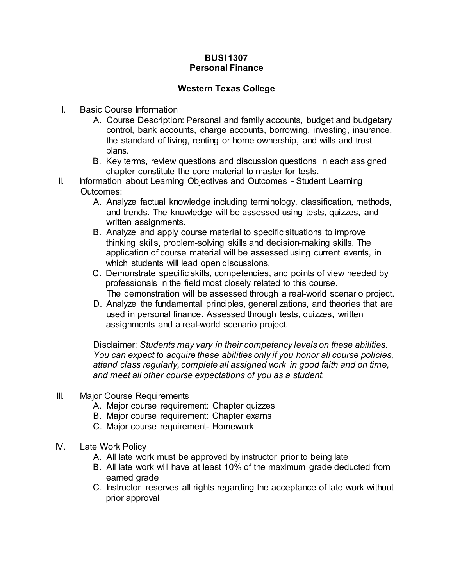## **BUSI 1307 Personal Finance**

## **Western Texas College**

- I. Basic Course Information
	- A. Course Description: Personal and family accounts, budget and budgetary control, bank accounts, charge accounts, borrowing, investing, insurance, the standard of living, renting or home ownership, and wills and trust plans.
	- B. Key terms, review questions and discussion questions in each assigned chapter constitute the core material to master for tests.
- II. Information about Learning Objectives and Outcomes Student Learning Outcomes:
	- A. Analyze factual knowledge including terminology, classification, methods, and trends. The knowledge will be assessed using tests, quizzes, and written assignments.
	- B. Analyze and apply course material to specific situations to improve thinking skills, problem-solving skills and decision-making skills. The application of course material will be assessed using current events, in which students will lead open discussions.
	- C. Demonstrate specific skills, competencies, and points of view needed by professionals in the field most closely related to this course. The demonstration will be assessed through a real-world scenario project.
	- D. Analyze the fundamental principles, generalizations, and theories that are used in personal finance. Assessed through tests, quizzes, written assignments and a real-world scenario project.

Disclaimer: *Students may vary in their competency levels on these abilities. You can expect to acquire these abilities only if you honor all course policies, attend class regularly, complete all assigned work in good faith and on time, and meet all other course expectations of you as a student.*

- III. Major Course Requirements
	- A. Major course requirement: Chapter quizzes
	- B. Major course requirement: Chapter exams
	- C. Major course requirement- Homework
- IV. Late Work Policy
	- A. All late work must be approved by instructor prior to being late
	- B. All late work will have at least 10% of the maximum grade deducted from earned grade
	- C. Instructor reserves all rights regarding the acceptance of late work without prior approval